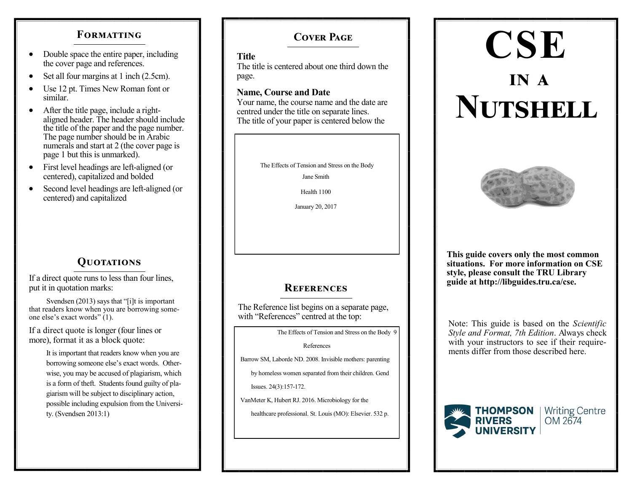### **FORMATTING**

- Double space the entire paper, including the cover page and references.
- Set all four margins at 1 inch (2.5cm).
- Use 12 pt. Times New Roman font or similar.
- After the title page, include a rightaligned header. The header should include the title of the paper and the page number. The page number should be in Arabic numerals and start at 2 (the cover page is page 1 but this is unmarked).
- First level headings are left-aligned (or centered), capitalized and bolded
- Second level headings are left-aligned (or centered) and capitalized

# **Quotations**

If a direct quote runs to less than four lines, put it in quotation marks:

 Svendsen (2013) says that "[i]t is important that readers know when you are borrowing someone else's exact words" (1).

If a direct quote is longer (four lines or more), format it as a block quote:

> It is important that readers know when you are borrowing someone else's exact words. Otherwise, you may be accused of plagiarism, which is a form of theft. Students found guilty of plagiarism will be subject to disciplinary action, possible including expulsion from the University. (Svendsen 2013:1)

# **Cover Page**

### **Title**

The title is centered about one third down the page.

### **Name, Course and Date**

Your name, the course name and the date are centred under the title on separate lines. The title of your paper is centered below the



Jane Smith

Health 1100

January 20, 2017

## **References**

The Reference list begins on a separate page, with "References" centred at the top:

The Effects of Tension and Stress on the Body 9

References

Barrow SM, Laborde ND. 2008. Invisible mothers: parenting

by homeless women separated from their children. Gend

Issues. 24(3):157-172.

VanMeter K, Hubert RJ. 2016. Microbiology for the

healthcare professional. St. Louis (MO): Elsevier. 532 p.

# **CSE in a Nutshell**



**This guide covers only the most common situations. For more information on CSE style, please consult the TRU Library guide at http://libguides.tru.ca/cse.**

Note: This guide is based on the *Scientific Style and Format, 7th Edition*. Always check with your instructors to see if their requirements differ from those described here.



OM 2674